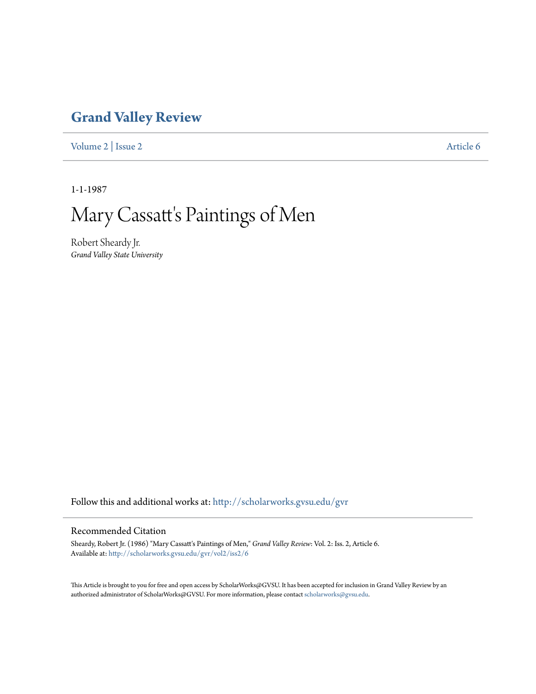## **[Grand Valley Review](http://scholarworks.gvsu.edu/gvr?utm_source=scholarworks.gvsu.edu%2Fgvr%2Fvol2%2Fiss2%2F6&utm_medium=PDF&utm_campaign=PDFCoverPages)**

[Volume 2](http://scholarworks.gvsu.edu/gvr/vol2?utm_source=scholarworks.gvsu.edu%2Fgvr%2Fvol2%2Fiss2%2F6&utm_medium=PDF&utm_campaign=PDFCoverPages) | [Issue 2](http://scholarworks.gvsu.edu/gvr/vol2/iss2?utm_source=scholarworks.gvsu.edu%2Fgvr%2Fvol2%2Fiss2%2F6&utm_medium=PDF&utm_campaign=PDFCoverPages) [Article 6](http://scholarworks.gvsu.edu/gvr/vol2/iss2/6?utm_source=scholarworks.gvsu.edu%2Fgvr%2Fvol2%2Fiss2%2F6&utm_medium=PDF&utm_campaign=PDFCoverPages)

1-1-1987

## Mary Cassatt's Paintings of Men

Robert Sheardy Jr. *Grand Valley State University*

Follow this and additional works at: [http://scholarworks.gvsu.edu/gvr](http://scholarworks.gvsu.edu/gvr?utm_source=scholarworks.gvsu.edu%2Fgvr%2Fvol2%2Fiss2%2F6&utm_medium=PDF&utm_campaign=PDFCoverPages)

## Recommended Citation

Sheardy, Robert Jr. (1986) "Mary Cassatt's Paintings of Men," *Grand Valley Review*: Vol. 2: Iss. 2, Article 6. Available at: [http://scholarworks.gvsu.edu/gvr/vol2/iss2/6](http://scholarworks.gvsu.edu/gvr/vol2/iss2/6?utm_source=scholarworks.gvsu.edu%2Fgvr%2Fvol2%2Fiss2%2F6&utm_medium=PDF&utm_campaign=PDFCoverPages)

This Article is brought to you for free and open access by ScholarWorks@GVSU. It has been accepted for inclusion in Grand Valley Review by an authorized administrator of ScholarWorks@GVSU. For more information, please contact [scholarworks@gvsu.edu.](mailto:scholarworks@gvsu.edu)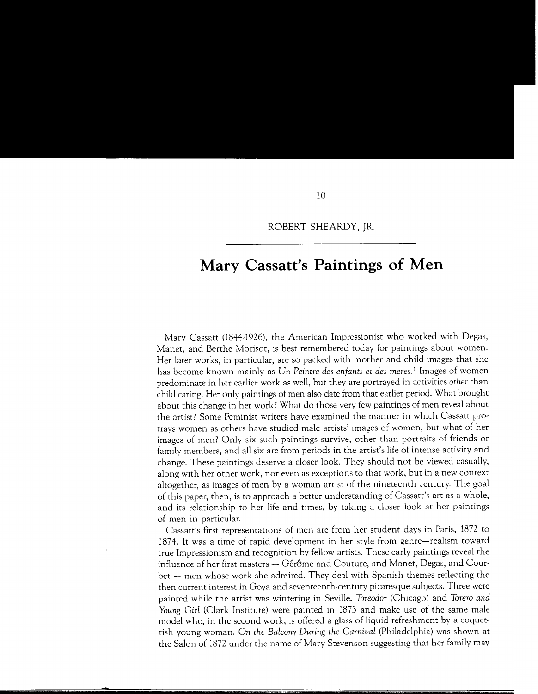## **Mary Cassatt's Paintings of Men**

Mary Cassatt (1844-1926), the American Impressionist who worked with Degas, Manet, and Berthe Morisot, is best remembered today for paintings about women. Her later works, in particular, are so packed with mother and child images that she has become known mainly as *Un Peintre des enfants et des meres. <sup>1</sup>*Images of women predominate in her earlier work as well, but they are portrayed in activities *other* than child caring. Her only paintings of men also date from that earlier period. What brought about this change in her work? What do those very few paintings of men reveal about the artist? Some Feminist writers have examined the manner in which Cassatt protrays women as others have studied male artists' images of women, but what of her images of men? Only six such paintings survive, other than portraits of friends or family members, and all six are from periods in the artist's life of intense activity and change. These paintings deserve a closer look. They should not be viewed casually, along with her other work, nor even as exceptions to that work, but in a new context altogether, as images of men by a woman artist of the nineteenth century. The goal of this paper, then, is to approach a better understanding of Cassatt's art as a whole, and its relationship to her life and times, by taking a closer look at her paintings of men in particular.

Cassatt's first representations of men are from her student days in Paris, 1872 to 1874. It was a time of rapid development in her style from genre-realism toward true Impressionism and recognition by fellow artists. These early paintings reveal the influence of her first masters - Gérôme and Couture, and Manet, Degas, and Courbet - men whose work she admired. They deal with Spanish themes reflecting the then current interest in Goya and seventeenth-century picaresque subjects. Three were painted while the artist was wintering in Seville. *Toreador* (Chicago) and *Torero and Young Girl* (Clark Institute) were painted in 1873 and make use of the same male model who, in the second work, is offered a glass of liquid refreshment by a coquettish young woman. *On the Balcony During the Carnival* (Philadelphia) was shown at the Salon of 1872 under the name of Mary Stevenson suggesting that her family may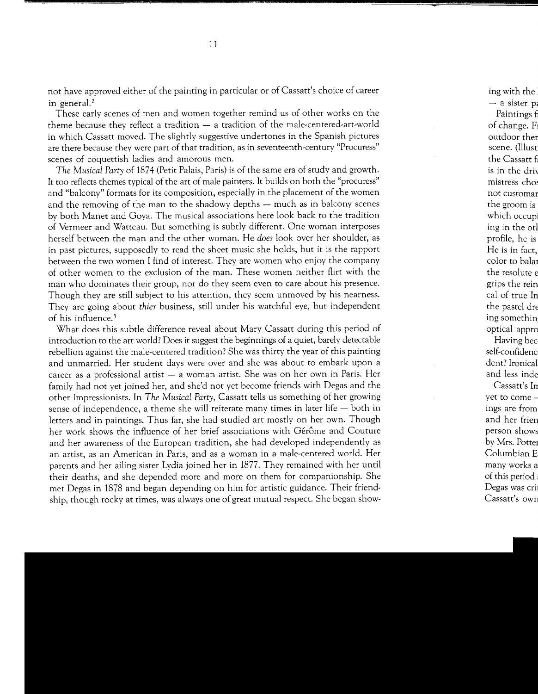not have approved either of the painting in particular or of Cassatt's choice of career in general.<sup>2</sup>

These early scenes of men and women together remind us of other works on the theme because they reflect a tradition  $-$  a tradition of the male-centered-art-world in which Cassatt moved. The slightly suggestive undertones in the Spanish pictures are there because they were part of that tradition, as in seventeenth-century "Procuress" scenes of coquettish ladies and amorous men.

*The Musical Party* of 1874 (Petit Palais, Paris) is of the same era of study and growth. It too reflects themes typical of the art of male painters. It builds on both the "procuress" and "balcony" formats for its composition, especially in the placement of the women and the removing of the man to the shadowy depths – much as in balcony scenes by both Manet and Goya. The musical associations here look back to the tradition of Vermeer and Watteau. But something is subtly different. One woman interposes herself between the man and the other woman. He *does* look over her shoulder, as in past pictures, supposedly to read the sheet music she holds, but it is the rapport between the two women I find of interest. They are women who enjoy the company of other women to the exclusion of the man. These women neither flirt with the man who dominates their group, nor do they seem even to care about his presence. Though they are still subject to his attention, they seem unmoved by his nearness. They are going about *thier* business, still under his watchful eye, but independent of his influence. <sup>3</sup>

What does this subtle difference reveal about Mary Cassatt during this period of introduction to the art world? Does it suggest the beginnings of a quiet, barely detectable rebellion against the male-centered tradition? She was thirty the year of this painting and unmarried. Her student days were over and she was about to embark upon a career as a professional artist  $-$  a woman artist. She was on her own in Paris. Her family had not yet joined her, and she'd not yet become friends with Degas and the other Impressionists. In *The Musical Party,* Cassatt tells us something of her growing sense of independence, a theme she will reiterate many times in later life  $-$  both in letters and in paintings. Thus far, she had studied art mostly on her own. Though her work shows the influence of her brief associations with Gérôme and Couture and her awareness of the European tradition, she had developed independently as an artist, as an American in Paris, and as a woman in a male-centered world. Her parents and her ailing sister Lydia joined her in 1877. They remained with her until their deaths, and she depended more and more on them for companionship. She met Degas in 1878 and began depending on him for artistic guidance. Their friendship, though rocky at times, was always one of great mutual respect. She began show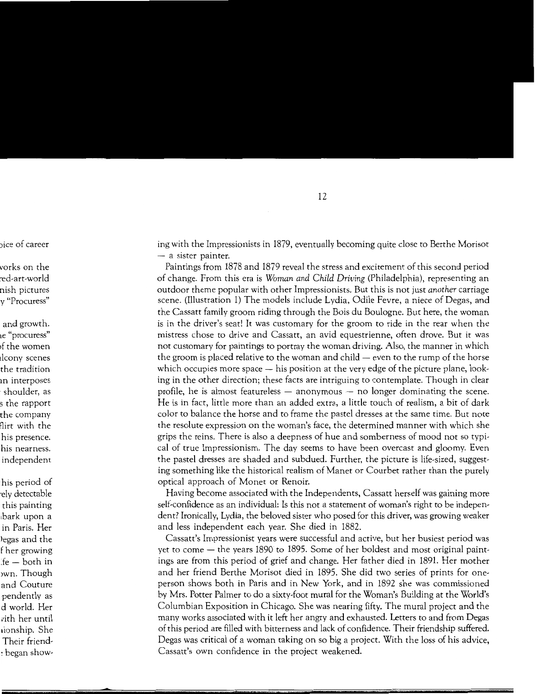ing with the Impressionists in 1879, eventually becoming quite close to Berthe Morisot  $-$  a sister painter.

Paintings from 1878 and 1879 reveal the stress and excitement of this second period of change. From this era is *Woman and Child Driving* (Philadelphia), representing an outdoor theme popular with other Impressionists. But this is not just *another* carriage scene. (Illustration 1) The models include Lydia, Odile Fevre, a niece of Degas, and the Cassatt family groom riding through the Bois du Boulogne. But here, the woman is in the driver's seat! It was customary for the groom to ride in the rear when the mistress chose to drive and Cassatt, an avid equestrienne, often drove. But it was not customary for paintings to portray the woman driving. Also, the manner in which the groom is placed relative to the woman and child  $-$  even to the rump of the horse which occupies more space — his position at the very edge of the picture plane, looking in the other direction; these facts are intriguing to contemplate. Though in clear profile, he is almost featureless  $-$  anonymous  $-$  no longer dominating the scene. He is in fact, little more than an added extra, a little touch of realism, a bit of dark color to balance the horse and to frame the pastel dresses at the same time. But note the resolute expression on the woman's face, the determined manner with which she grips the reins. There is also a deepness of hue and somberness of mood not so typical of true Impressionism. The day seems to have been overcast and gloomy. Even the pastel dresses are shaded and subdued. Further, the picture is life-sized, suggesting something like the historical realism of Manet or Courbet rather than the purely optical approach of Monet or Renoir.

Having become associated with the Independents, Cassatt herself was gaining more self-confidence as an individual: Is this not a statement of woman's right to be independent? Ironically, Lydia, the beloved sister who posed for this driver, was growing weaker and less independent each year. She died in 1882.

Cassatt's Impressionist years were successful and active, but her busiest period was yet to come  $-$  the years 1890 to 1895. Some of her boldest and most original paintings are from this period of grief and change. Her father died in 1891. Her mother and her friend Berthe Morisot died in 1895. She did two series of prints for oneperson shows both in Paris and in New York, and in 1892 she was commissioned by Mrs. Potter Palmer to do a sixty-foot mural for the Woman's Building at the World's Columbian Exposition in Chicago. She was nearing fifty. The mural project and the many works associated with it left her angry and exhausted. Letters to and from Degas of this period are filled with bitterness and lack of confidence. Their friendship suffered. Degas was critical of a woman taking on so big a project. With the loss of his advice, Cassatt's own confidence in the project weakened.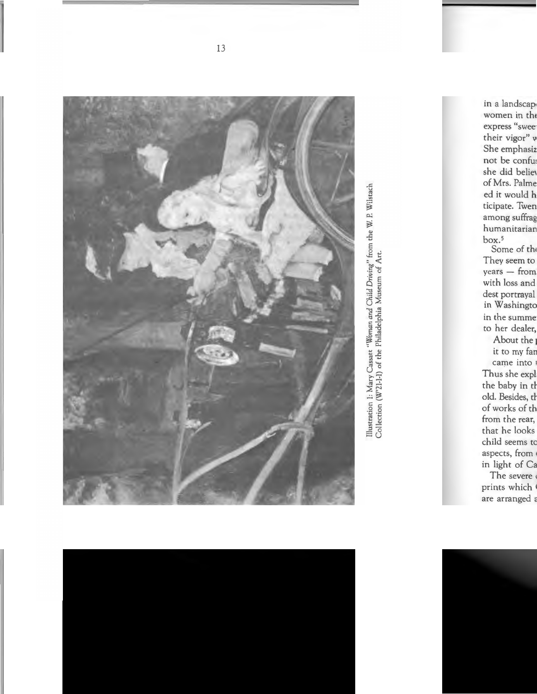

Illustration 1: Mary Cassatt "Woman and Child Driving" from the W. P. Wilstach Collection (W'21-1-1) of the Philadelphia Museum of Art.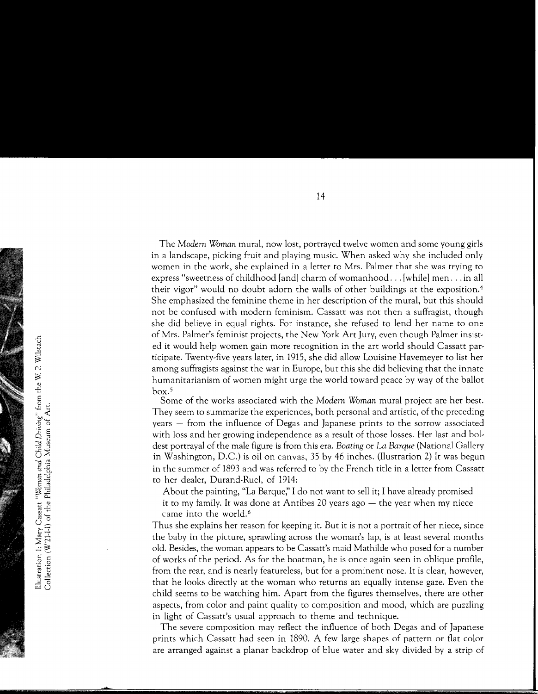The *Modern Woman* mural, now lost, portrayed twelve women and some young girls in a landscape, picking fruit and playing music. When asked why she included only women in the work, she explained in a letter to Mrs. Palmer that she was trying to express "sweetness of childhood [and] charm of womanhood ... [while] men ... in all their vigor" would no doubt adorn the walls of other buildings at the exposition. 4 She emphasized the feminine theme in her description of the mural, but this should not be confused with modern feminism. Cassatt was not then a suffragist, though she did believe in equal rights. For instance, she refused to lend her name to one of Mrs. Palmer's feminist projects, the New York Art Jury, even though Palmer insisted it would help women gain more recognition in the art world should Cassatt participate. Twenty-five years later, in 1915, she did allow Louisine Havemeyer to list her among suffragists against the war in Europe, but this she did believing that the innate humanitarianism of women might urge the world toward peace by way of the ballot  $box<sup>5</sup>$ 

Some of the works associated with the *Modern Woman* mural project are her best . They seem to summarize the experiences, both personal and artistic, of the preceding years – from the influence of Degas and Japanese prints to the sorrow associated with loss and her growing independence as a result of those losses. Her last and boldest portrayal of the male figure is from this era. *Boating* or *La Barque* (National Gallery in Washington, D.C.) is oil on canvas, 35 by 46 inches. (Ilustration 2) It was begun in the summer of 1893 and was referred to by the French title in a letter from Cassatt to her dealer, Durand-Rue!, of 1914:

About the painting, "La Barque;' I do not want to sell it; I have already promised it to my family. It was done at Antibes 20 years ago  $-$  the year when my niece came into the world.<sup>6</sup>

Thus she explains her reason for keeping it. But it is not a portrait of her niece, since the baby in the picture, sprawling across the woman's lap, is at least several months old. Besides, the woman appears to be Cassatt's maid Mathilde who posed for a number of works of the period. As for the boatman, he is once again seen in oblique profile, from the rear, and is nearly featureless, but for a prominent nose. It is clear, however, that he looks directly at the woman who returns an equally intense gaze. Even the child seems to be watching him. Apart from the figures themselves, there are other aspects, from color and paint quality to composition and mood, which are puzzling in light of Cassatt's usual approach to theme and technique.

The severe composition may reflect the influence of both Degas and of Japanese prints which Cassatt had seen in 1890. A few large shapes of pattern or flat color are arranged against a planar backdrop of blue water and sky divided by a strip of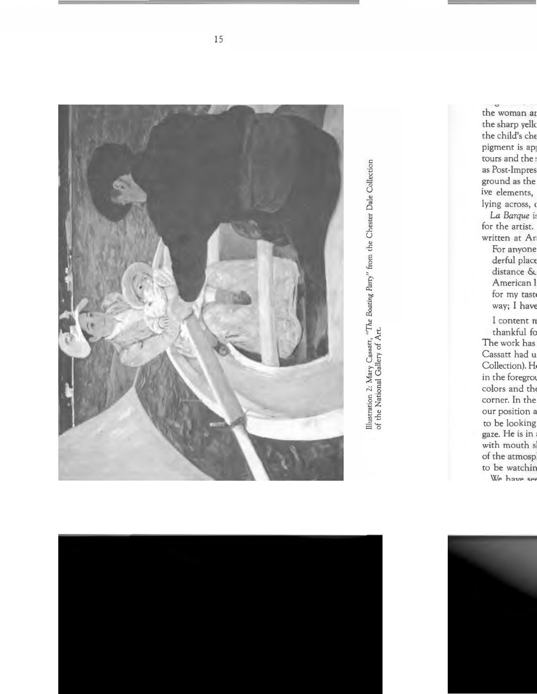

Illustration 2: Mary Cassatt, "The Boating Party" from the Chester Dale Collection of the National Gallery of Art.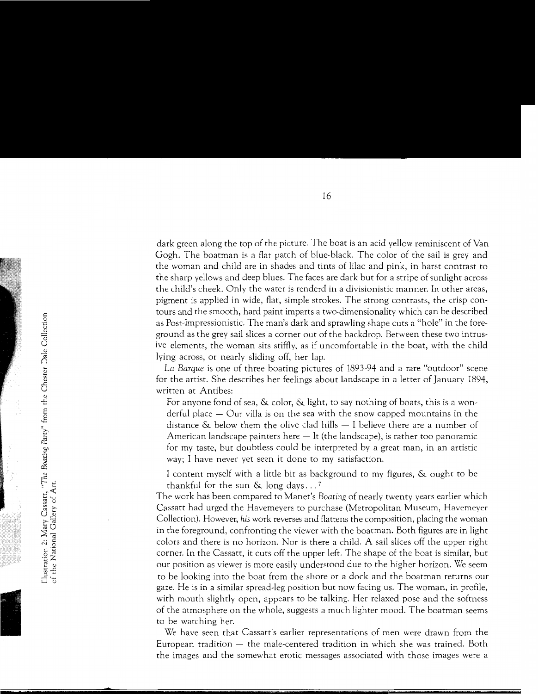dark green along the top of the picture. The boat is an acid yellow reminiscent of Van Gogh. The boatman is a flat patch of blue-black. The color of the sail is grey and the woman and child are in shades and tints of lilac and pink, in harst contrast to the sharp yellows and deep blues. The faces are dark but for a stripe of sunlight across the child's cheek. Only the water is renderd in a divisionistic manner. In other areas, pigment is applied in wide, flat, simple strokes. The strong contrasts, the crisp contours and the smooth, hard paint imparts a two-dimensionality which can be described as Post-Impressionistic. The man's dark and sprawling shape cuts a "hole" in the foreground as the grey sail slices a corner out of the backdrop. Between these two intrusive elements, the woman sits stiffly, as if uncomfortable in the boat, with the child lying across, or nearly sliding off, her lap.

*La Barque* is one of three boating pictures of 1893-94 and a rare "outdoor" scene for the artist. She describes her feelings about landscape in a letter of January 1894, written at Antibes:

For anyone fond of sea, & color, & light, to say nothing of boats, this is a wonderful place  $-$  Our villa is on the sea with the snow capped mountains in the distance  $\&$  below them the olive clad hills  $-1$  believe there are a number of American landscape painters here  $-$  It (the landscape), is rather too panoramic for my taste, but doubtless could be interpreted by a great man, in an artistic way; I have never yet seen it done to my satisfaction.

I content myself with a little bit as background to my figures, & ought to be thankful for the sun  $\&$  long days...?

The work has been compared to Manet's *Boating* of nearly twenty years earlier which Cassatt had urged the Havemeyers to purchase (Metropolitan Museum, Havemeyer Collection). However, *his* work reverses and flattens the composition, placing the woman in the foreground, confronting the viewer with the boatman. Both figures are in light colors and there is no horizon. Nor is there a child. A sail slices off the upper right corner. In the Cassatt, it cuts off the upper left. The shape of the boat is similar, but our position as viewer is more easily understood due to the higher horizon. We seem to be looking into the boat from the shore or a dock and the boatman returns our gaze. He is in a similar spread-leg position but now facing us. The woman, in profile, with mouth slightly open, appears to be talking. Her relaxed pose and the softness of the atmosphere on the whole, suggests a much lighter mood. The boatman seems to be watching her.

We have seen that Cassatt's earlier representations of men were drawn from the European tradition — the male-centered tradition in which she was trained. Both the images and the somewhat erotic messages associated with those images were a